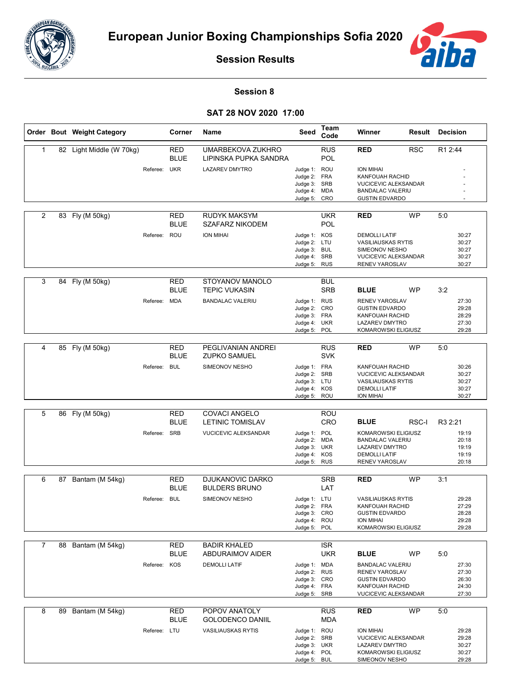



**Session Results**

## **Session 8**

## **SAT 28 NOV 2020 17:00**

|              |    | Order Bout Weight Category |                 | Corner                    | Name                                            | Seed                                                                         | Team<br>Code             | Winner                                                                                                                  | Result     | <b>Decision</b>                           |  |
|--------------|----|----------------------------|-----------------|---------------------------|-------------------------------------------------|------------------------------------------------------------------------------|--------------------------|-------------------------------------------------------------------------------------------------------------------------|------------|-------------------------------------------|--|
| $\mathbf{1}$ |    | 82 Light Middle (W 70kg)   |                 | RED<br><b>BLUE</b>        | UMARBEKOVA ZUKHRO<br>LIPINSKA PUPKA SANDRA      |                                                                              | <b>RUS</b><br><b>POL</b> | <b>RED</b>                                                                                                              | <b>RSC</b> | R1 2:44                                   |  |
|              |    |                            | Referee: UKR    |                           | <b>LAZAREV DMYTRO</b>                           | Judge 1: ROU<br>Judge 2: FRA<br>Judge 3: SRB<br>Judge 4: MDA<br>Judge 5: CRO |                          | <b>ION MIHAI</b><br>KANFOUAH RACHID<br><b>VUCICEVIC ALEKSANDAR</b><br><b>BANDALAC VALERIU</b><br><b>GUSTIN EDVARDO</b>  |            |                                           |  |
|              |    |                            |                 |                           |                                                 |                                                                              |                          |                                                                                                                         |            |                                           |  |
| 2            | 83 | Fly (M 50kg)               |                 | <b>RED</b><br><b>BLUE</b> | <b>RUDYK MAKSYM</b><br><b>SZAFARZ NIKODEM</b>   |                                                                              | <b>UKR</b><br><b>POL</b> | <b>RED</b>                                                                                                              | <b>WP</b>  | 5:0                                       |  |
|              |    |                            | ROU<br>Referee: |                           | <b>ION MIHAI</b>                                | Judge 1: KOS<br>Judge 2: LTU<br>Judge 3: BUL<br>Judge 4: SRB<br>Judge 5: RUS |                          | <b>DEMOLLI LATIF</b><br><b>VASILIAUSKAS RYTIS</b><br>SIMEONOV NESHO<br><b>VUCICEVIC ALEKSANDAR</b><br>RENEV YAROSLAV    |            | 30:27<br>30:27<br>30:27<br>30:27<br>30:27 |  |
| 3            |    | 84 Fly (M 50kg)            |                 | <b>RED</b><br><b>BLUE</b> | STOYANOV MANOLO<br><b>TEPIC VUKASIN</b>         |                                                                              | BUL<br><b>SRB</b>        | <b>BLUE</b>                                                                                                             | <b>WP</b>  | 3:2                                       |  |
|              |    |                            | Referee: MDA    |                           | <b>BANDALAC VALERIU</b>                         | Judge 1: RUS<br>Judge 2: CRO<br>Judge 3: FRA<br>Judge 4: UKR<br>Judge 5: POL |                          | <b>RENEV YAROSLAV</b><br><b>GUSTIN EDVARDO</b><br>KANFOUAH RACHID<br>LAZAREV DMYTRO<br>KOMAROWSKI ELIGIUSZ              |            | 27:30<br>29:28<br>28:29<br>27:30<br>29:28 |  |
| 4            |    | 85 Fly (M 50kg)            |                 | <b>RED</b><br><b>BLUE</b> | PEGLIVANIAN ANDREI<br><b>ZUPKO SAMUEL</b>       |                                                                              | <b>RUS</b><br><b>SVK</b> | <b>RED</b>                                                                                                              | <b>WP</b>  | 5:0                                       |  |
|              |    |                            | Referee: BUL    |                           | SIMEONOV NESHO                                  | Judge 1: FRA<br>Judge 2:<br>Judge 3: LTU<br>Judge 4: KOS<br>Judge 5: ROU     | <b>SRB</b>               | <b>KANFOUAH RACHID</b><br><b>VUCICEVIC ALEKSANDAR</b><br><b>VASILIAUSKAS RYTIS</b><br><b>DEMOLLI LATIF</b><br>ION MIHAI |            | 30:26<br>30:27<br>30:27<br>30:27<br>30:27 |  |
|              |    |                            |                 |                           |                                                 |                                                                              |                          |                                                                                                                         |            |                                           |  |
| 5            |    | 86 Fly (M 50kg)            |                 | <b>RED</b><br><b>BLUE</b> | <b>COVACI ANGELO</b><br><b>LETINIC TOMISLAV</b> |                                                                              | <b>ROU</b><br>CRO        | <b>BLUE</b>                                                                                                             | RSC-I      | R3 2:21                                   |  |
|              |    |                            | SRB<br>Referee: |                           | VUCICEVIC ALEKSANDAR                            | Judge 1: POL<br>Judge 2: MDA<br>Judge 3: UKR<br>Judge 4:<br>Judge 5: RUS     | KOS                      | KOMAROWSKI ELIGIUSZ<br><b>BANDALAC VALERIU</b><br><b>LAZAREV DMYTRO</b><br><b>DEMOLLI LATIF</b><br>RENEV YAROSLAV       |            | 19:19<br>20:18<br>19:19<br>19:19<br>20:18 |  |
| 6            | 87 | Bantam (M 54kg)            |                 | RED                       | <b>DJUKANOVIC DARKO</b>                         |                                                                              | <b>SRB</b>               | <b>RED</b>                                                                                                              | <b>WP</b>  | 3:1                                       |  |
|              |    |                            |                 | <b>BLUE</b>               | <b>BULDERS BRUNO</b>                            |                                                                              | LAT                      |                                                                                                                         |            |                                           |  |
|              |    |                            | Referee: BUL    |                           | SIMEONOV NESHO                                  | Judge 1: LTU<br>Judge 2: FRA<br>Judge 3: CRO<br>Judge 4: ROU<br>Judge 5: POL |                          | <b>VASILIAUSKAS RYTIS</b><br>KANFOUAH RACHID<br><b>GUSTIN EDVARDO</b><br>ION MIHAI<br>KOMAROWSKI ELIGIUSZ               |            | 29:28<br>27:29<br>28:28<br>29:28<br>29:28 |  |
| 7            |    | 88 Bantam (M 54kg)         |                 | RED                       | <b>BADIR KHALED</b>                             |                                                                              | <b>ISR</b>               |                                                                                                                         |            |                                           |  |
|              |    |                            |                 | <b>BLUE</b>               | ABDURAIMOV AIDER                                |                                                                              | <b>UKR</b>               | <b>BLUE</b>                                                                                                             | WP         | 5:0                                       |  |
|              |    |                            | Referee: KOS    |                           | <b>DEMOLLI LATIF</b>                            | Judge 1: MDA<br>Judge 2: RUS<br>Judge 3: CRO<br>Judge 4: FRA<br>Judge 5: SRB |                          | <b>BANDALAC VALERIU</b><br>RENEV YAROSLAV<br><b>GUSTIN EDVARDO</b><br>KANFOUAH RACHID<br><b>VUCICEVIC ALEKSANDAR</b>    |            | 27:30<br>27:30<br>26:30<br>24:30<br>27:30 |  |
| 8            |    | 89 Bantam (M 54kg)         |                 | RED                       | POPOV ANATOLY                                   |                                                                              | <b>RUS</b>               | <b>RED</b>                                                                                                              | <b>WP</b>  | 5:0                                       |  |
|              |    |                            |                 | BLUE                      | <b>GOLODENCO DANIIL</b>                         |                                                                              | <b>MDA</b>               |                                                                                                                         |            |                                           |  |
|              |    |                            | Referee: LTU    |                           | <b>VASILIAUSKAS RYTIS</b>                       | Judge 1: ROU<br>Judge 2: SRB<br>Judge 3: UKR<br>Judge 4: POL<br>Judge 5: BUL |                          | <b>ION MIHAI</b><br><b>VUCICEVIC ALEKSANDAR</b><br><b>LAZAREV DMYTRO</b><br>KOMAROWSKI ELIGIUSZ<br>SIMEONOV NESHO       |            | 29:28<br>29:28<br>30:27<br>30:27<br>29:28 |  |